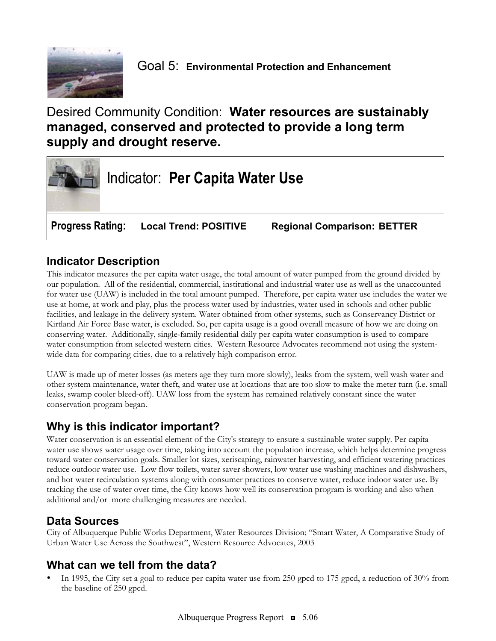

# Desired Community Condition: **Water resources are sustainably managed, conserved and protected to provide a long term supply and drought reserve.**



# **Indicator Description**

This indicator measures the per capita water usage, the total amount of water pumped from the ground divided by our population. All of the residential, commercial, institutional and industrial water use as well as the unaccounted for water use (UAW) is included in the total amount pumped. Therefore, per capita water use includes the water we use at home, at work and play, plus the process water used by industries, water used in schools and other public facilities, and leakage in the delivery system. Water obtained from other systems, such as Conservancy District or Kirtland Air Force Base water, is excluded. So, per capita usage is a good overall measure of how we are doing on conserving water. Additionally, single-family residential daily per capita water consumption is used to compare water consumption from selected western cities. Western Resource Advocates recommend not using the systemwide data for comparing cities, due to a relatively high comparison error.

UAW is made up of meter losses (as meters age they turn more slowly), leaks from the system, well wash water and other system maintenance, water theft, and water use at locations that are too slow to make the meter turn (i.e. small leaks, swamp cooler bleed-off). UAW loss from the system has remained relatively constant since the water conservation program began.

# **Why is this indicator important?**

Water conservation is an essential element of the City's strategy to ensure a sustainable water supply. Per capita water use shows water usage over time, taking into account the population increase, which helps determine progress toward water conservation goals. Smaller lot sizes, xeriscaping, rainwater harvesting, and efficient watering practices reduce outdoor water use. Low flow toilets, water saver showers, low water use washing machines and dishwashers, and hot water recirculation systems along with consumer practices to conserve water, reduce indoor water use. By tracking the use of water over time, the City knows how well its conservation program is working and also when additional and/or more challenging measures are needed.

#### **Data Sources**

City of Albuquerque Public Works Department, Water Resources Division; "Smart Water, A Comparative Study of Urban Water Use Across the Southwest", Western Resource Advocates, 2003

### **What can we tell from the data?**

In 1995, the City set a goal to reduce per capita water use from 250 gpcd to 175 gpcd, a reduction of 30% from the baseline of 250 gpcd.